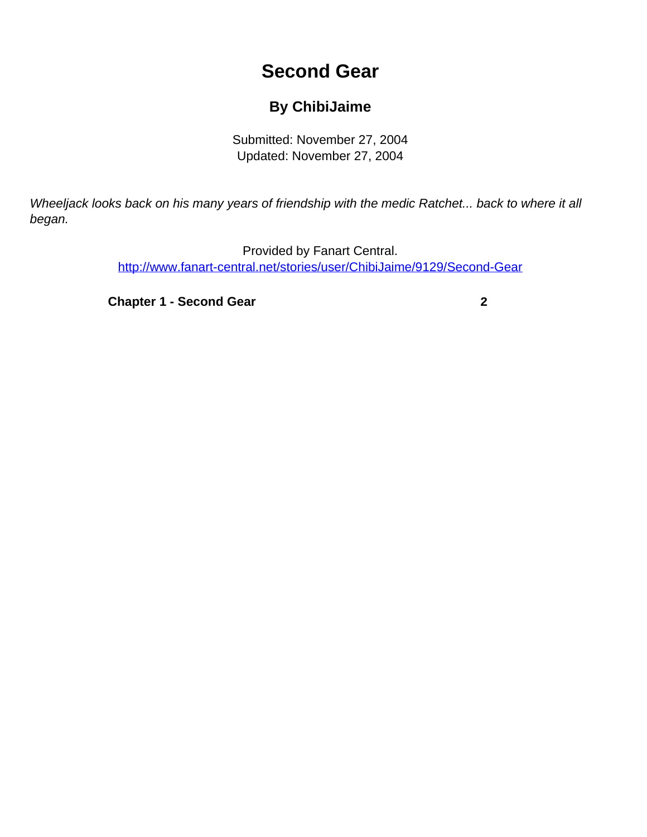# **Second Gear**

## **By ChibiJaime**

Submitted: November 27, 2004 Updated: November 27, 2004

<span id="page-0-0"></span>Wheeljack looks back on his many years of friendship with the medic Ratchet... back to where it all began.

> Provided by Fanart Central. [http://www.fanart-central.net/stories/user/ChibiJaime/9129/Second-Gear](#page-0-0)

**[Chapter 1 - Second Gear](#page-1-0)** [2](#page-1-0)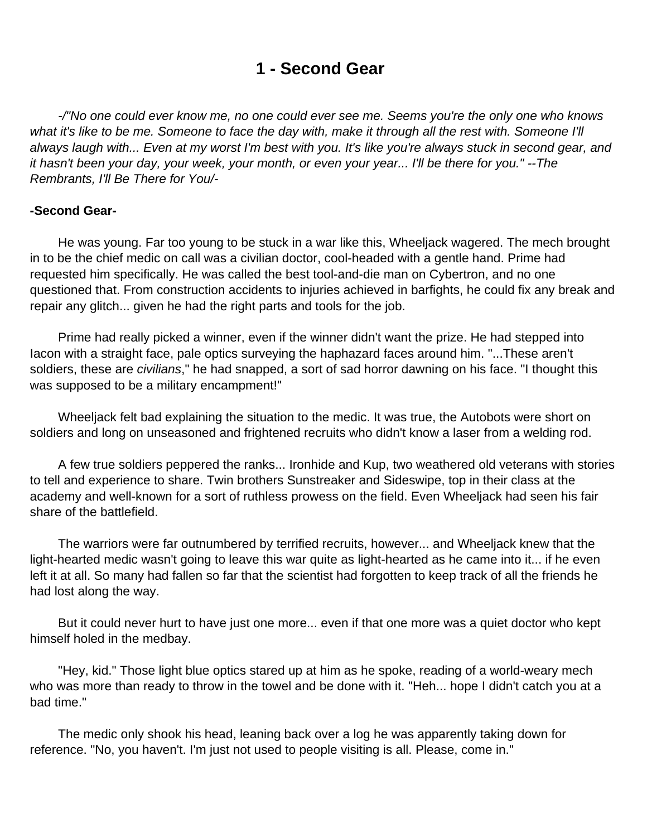# **1 - Second Gear**

<span id="page-1-0"></span> -/"No one could ever know me, no one could ever see me. Seems you're the only one who knows what it's like to be me. Someone to face the day with, make it through all the rest with. Someone I'll always laugh with... Even at my worst I'm best with you. It's like you're always stuck in second gear, and it hasn't been your day, your week, your month, or even your year... I'll be there for you." --The Rembrants, I'll Be There for You/-

### **-Second Gear-**

 He was young. Far too young to be stuck in a war like this, Wheeljack wagered. The mech brought in to be the chief medic on call was a civilian doctor, cool-headed with a gentle hand. Prime had requested him specifically. He was called the best tool-and-die man on Cybertron, and no one questioned that. From construction accidents to injuries achieved in barfights, he could fix any break and repair any glitch... given he had the right parts and tools for the job.

 Prime had really picked a winner, even if the winner didn't want the prize. He had stepped into Iacon with a straight face, pale optics surveying the haphazard faces around him. "...These aren't soldiers, these are civilians," he had snapped, a sort of sad horror dawning on his face. "I thought this was supposed to be a military encampment!"

 Wheeljack felt bad explaining the situation to the medic. It was true, the Autobots were short on soldiers and long on unseasoned and frightened recruits who didn't know a laser from a welding rod.

 A few true soldiers peppered the ranks... Ironhide and Kup, two weathered old veterans with stories to tell and experience to share. Twin brothers Sunstreaker and Sideswipe, top in their class at the academy and well-known for a sort of ruthless prowess on the field. Even Wheeljack had seen his fair share of the battlefield.

 The warriors were far outnumbered by terrified recruits, however... and Wheeljack knew that the light-hearted medic wasn't going to leave this war quite as light-hearted as he came into it... if he even left it at all. So many had fallen so far that the scientist had forgotten to keep track of all the friends he had lost along the way.

 But it could never hurt to have just one more... even if that one more was a quiet doctor who kept himself holed in the medbay.

 "Hey, kid." Those light blue optics stared up at him as he spoke, reading of a world-weary mech who was more than ready to throw in the towel and be done with it. "Heh... hope I didn't catch you at a bad time."

 The medic only shook his head, leaning back over a log he was apparently taking down for reference. "No, you haven't. I'm just not used to people visiting is all. Please, come in."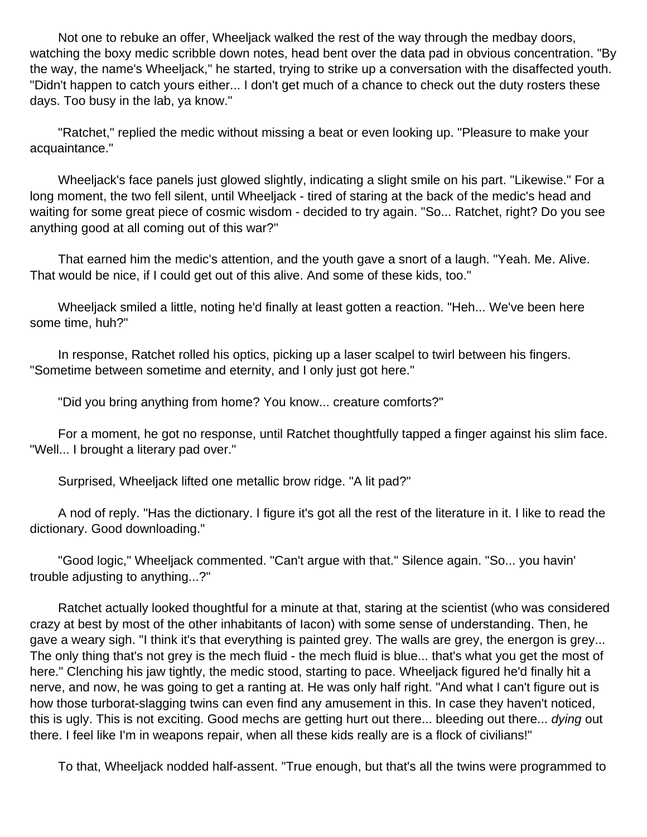Not one to rebuke an offer, Wheeljack walked the rest of the way through the medbay doors, watching the boxy medic scribble down notes, head bent over the data pad in obvious concentration. "By the way, the name's Wheeljack," he started, trying to strike up a conversation with the disaffected youth. "Didn't happen to catch yours either... I don't get much of a chance to check out the duty rosters these days. Too busy in the lab, ya know."

 "Ratchet," replied the medic without missing a beat or even looking up. "Pleasure to make your acquaintance."

 Wheeljack's face panels just glowed slightly, indicating a slight smile on his part. "Likewise." For a long moment, the two fell silent, until Wheeljack - tired of staring at the back of the medic's head and waiting for some great piece of cosmic wisdom - decided to try again. "So... Ratchet, right? Do you see anything good at all coming out of this war?"

 That earned him the medic's attention, and the youth gave a snort of a laugh. "Yeah. Me. Alive. That would be nice, if I could get out of this alive. And some of these kids, too."

 Wheeljack smiled a little, noting he'd finally at least gotten a reaction. "Heh... We've been here some time, huh?"

 In response, Ratchet rolled his optics, picking up a laser scalpel to twirl between his fingers. "Sometime between sometime and eternity, and I only just got here."

"Did you bring anything from home? You know... creature comforts?"

 For a moment, he got no response, until Ratchet thoughtfully tapped a finger against his slim face. "Well... I brought a literary pad over."

Surprised, Wheeljack lifted one metallic brow ridge. "A lit pad?"

 A nod of reply. "Has the dictionary. I figure it's got all the rest of the literature in it. I like to read the dictionary. Good downloading."

 "Good logic," Wheeljack commented. "Can't argue with that." Silence again. "So... you havin' trouble adjusting to anything...?"

 Ratchet actually looked thoughtful for a minute at that, staring at the scientist (who was considered crazy at best by most of the other inhabitants of Iacon) with some sense of understanding. Then, he gave a weary sigh. "I think it's that everything is painted grey. The walls are grey, the energon is grey... The only thing that's not grey is the mech fluid - the mech fluid is blue... that's what you get the most of here." Clenching his jaw tightly, the medic stood, starting to pace. Wheeljack figured he'd finally hit a nerve, and now, he was going to get a ranting at. He was only half right. "And what I can't figure out is how those turborat-slagging twins can even find any amusement in this. In case they haven't noticed, this is ugly. This is not exciting. Good mechs are getting hurt out there... bleeding out there... dying out there. I feel like I'm in weapons repair, when all these kids really are is a flock of civilians!"

To that, Wheeljack nodded half-assent. "True enough, but that's all the twins were programmed to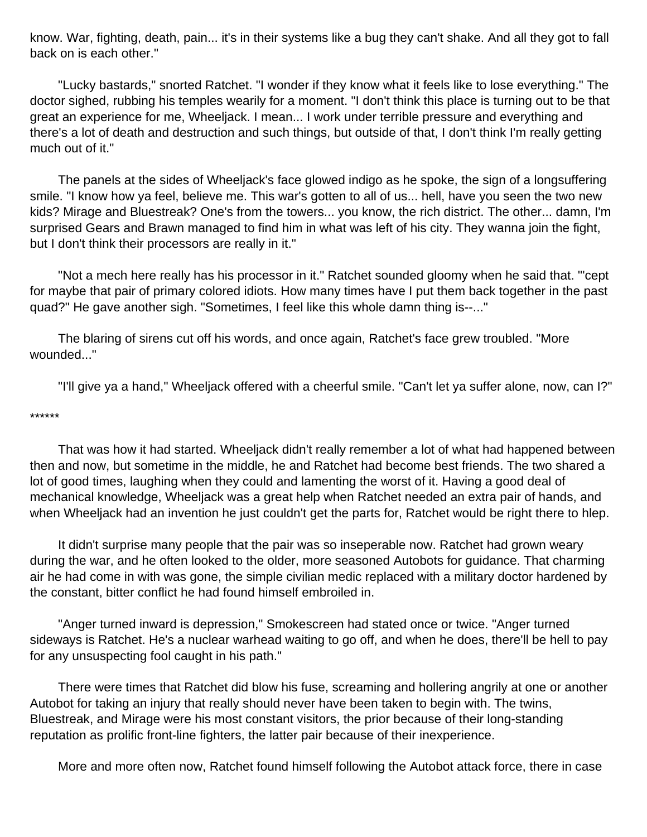know. War, fighting, death, pain... it's in their systems like a bug they can't shake. And all they got to fall back on is each other."

 "Lucky bastards," snorted Ratchet. "I wonder if they know what it feels like to lose everything." The doctor sighed, rubbing his temples wearily for a moment. "I don't think this place is turning out to be that great an experience for me, Wheeljack. I mean... I work under terrible pressure and everything and there's a lot of death and destruction and such things, but outside of that, I don't think I'm really getting much out of it."

 The panels at the sides of Wheeljack's face glowed indigo as he spoke, the sign of a longsuffering smile. "I know how ya feel, believe me. This war's gotten to all of us... hell, have you seen the two new kids? Mirage and Bluestreak? One's from the towers... you know, the rich district. The other... damn, I'm surprised Gears and Brawn managed to find him in what was left of his city. They wanna join the fight, but I don't think their processors are really in it."

 "Not a mech here really has his processor in it." Ratchet sounded gloomy when he said that. "'cept for maybe that pair of primary colored idiots. How many times have I put them back together in the past quad?" He gave another sigh. "Sometimes, I feel like this whole damn thing is--..."

 The blaring of sirens cut off his words, and once again, Ratchet's face grew troubled. "More wounded..."

"I'll give ya a hand," Wheeljack offered with a cheerful smile. "Can't let ya suffer alone, now, can I?"

#### \*\*\*\*\*\*

 That was how it had started. Wheeljack didn't really remember a lot of what had happened between then and now, but sometime in the middle, he and Ratchet had become best friends. The two shared a lot of good times, laughing when they could and lamenting the worst of it. Having a good deal of mechanical knowledge, Wheeljack was a great help when Ratchet needed an extra pair of hands, and when Wheeljack had an invention he just couldn't get the parts for, Ratchet would be right there to hlep.

 It didn't surprise many people that the pair was so inseperable now. Ratchet had grown weary during the war, and he often looked to the older, more seasoned Autobots for guidance. That charming air he had come in with was gone, the simple civilian medic replaced with a military doctor hardened by the constant, bitter conflict he had found himself embroiled in.

 "Anger turned inward is depression," Smokescreen had stated once or twice. "Anger turned sideways is Ratchet. He's a nuclear warhead waiting to go off, and when he does, there'll be hell to pay for any unsuspecting fool caught in his path."

 There were times that Ratchet did blow his fuse, screaming and hollering angrily at one or another Autobot for taking an injury that really should never have been taken to begin with. The twins, Bluestreak, and Mirage were his most constant visitors, the prior because of their long-standing reputation as prolific front-line fighters, the latter pair because of their inexperience.

More and more often now, Ratchet found himself following the Autobot attack force, there in case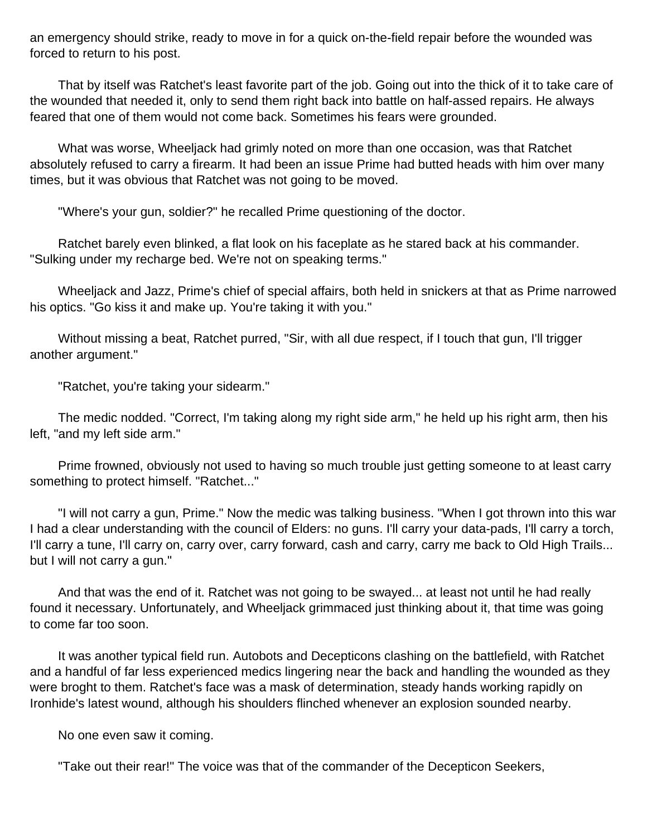an emergency should strike, ready to move in for a quick on-the-field repair before the wounded was forced to return to his post.

 That by itself was Ratchet's least favorite part of the job. Going out into the thick of it to take care of the wounded that needed it, only to send them right back into battle on half-assed repairs. He always feared that one of them would not come back. Sometimes his fears were grounded.

 What was worse, Wheeljack had grimly noted on more than one occasion, was that Ratchet absolutely refused to carry a firearm. It had been an issue Prime had butted heads with him over many times, but it was obvious that Ratchet was not going to be moved.

"Where's your gun, soldier?" he recalled Prime questioning of the doctor.

 Ratchet barely even blinked, a flat look on his faceplate as he stared back at his commander. "Sulking under my recharge bed. We're not on speaking terms."

 Wheeljack and Jazz, Prime's chief of special affairs, both held in snickers at that as Prime narrowed his optics. "Go kiss it and make up. You're taking it with you."

 Without missing a beat, Ratchet purred, "Sir, with all due respect, if I touch that gun, I'll trigger another argument."

"Ratchet, you're taking your sidearm."

 The medic nodded. "Correct, I'm taking along my right side arm," he held up his right arm, then his left, "and my left side arm."

 Prime frowned, obviously not used to having so much trouble just getting someone to at least carry something to protect himself. "Ratchet..."

 "I will not carry a gun, Prime." Now the medic was talking business. "When I got thrown into this war I had a clear understanding with the council of Elders: no guns. I'll carry your data-pads, I'll carry a torch, I'll carry a tune, I'll carry on, carry over, carry forward, cash and carry, carry me back to Old High Trails... but I will not carry a gun."

 And that was the end of it. Ratchet was not going to be swayed... at least not until he had really found it necessary. Unfortunately, and Wheeljack grimmaced just thinking about it, that time was going to come far too soon.

 It was another typical field run. Autobots and Decepticons clashing on the battlefield, with Ratchet and a handful of far less experienced medics lingering near the back and handling the wounded as they were broght to them. Ratchet's face was a mask of determination, steady hands working rapidly on Ironhide's latest wound, although his shoulders flinched whenever an explosion sounded nearby.

No one even saw it coming.

"Take out their rear!" The voice was that of the commander of the Decepticon Seekers,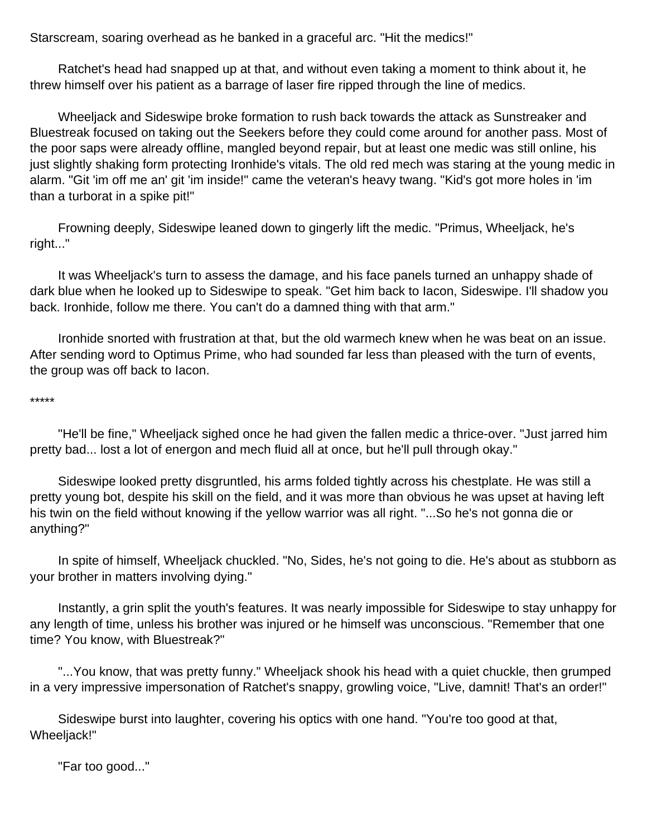Starscream, soaring overhead as he banked in a graceful arc. "Hit the medics!"

 Ratchet's head had snapped up at that, and without even taking a moment to think about it, he threw himself over his patient as a barrage of laser fire ripped through the line of medics.

 Wheeljack and Sideswipe broke formation to rush back towards the attack as Sunstreaker and Bluestreak focused on taking out the Seekers before they could come around for another pass. Most of the poor saps were already offline, mangled beyond repair, but at least one medic was still online, his just slightly shaking form protecting Ironhide's vitals. The old red mech was staring at the young medic in alarm. "Git 'im off me an' git 'im inside!" came the veteran's heavy twang. "Kid's got more holes in 'im than a turborat in a spike pit!"

 Frowning deeply, Sideswipe leaned down to gingerly lift the medic. "Primus, Wheeljack, he's right..."

 It was Wheeljack's turn to assess the damage, and his face panels turned an unhappy shade of dark blue when he looked up to Sideswipe to speak. "Get him back to Iacon, Sideswipe. I'll shadow you back. Ironhide, follow me there. You can't do a damned thing with that arm."

 Ironhide snorted with frustration at that, but the old warmech knew when he was beat on an issue. After sending word to Optimus Prime, who had sounded far less than pleased with the turn of events, the group was off back to Iacon.

#### \*\*\*\*\*

 "He'll be fine," Wheeljack sighed once he had given the fallen medic a thrice-over. "Just jarred him pretty bad... lost a lot of energon and mech fluid all at once, but he'll pull through okay."

 Sideswipe looked pretty disgruntled, his arms folded tightly across his chestplate. He was still a pretty young bot, despite his skill on the field, and it was more than obvious he was upset at having left his twin on the field without knowing if the yellow warrior was all right. "...So he's not gonna die or anything?"

 In spite of himself, Wheeljack chuckled. "No, Sides, he's not going to die. He's about as stubborn as your brother in matters involving dying."

 Instantly, a grin split the youth's features. It was nearly impossible for Sideswipe to stay unhappy for any length of time, unless his brother was injured or he himself was unconscious. "Remember that one time? You know, with Bluestreak?"

 "...You know, that was pretty funny." Wheeljack shook his head with a quiet chuckle, then grumped in a very impressive impersonation of Ratchet's snappy, growling voice, "Live, damnit! That's an order!"

 Sideswipe burst into laughter, covering his optics with one hand. "You're too good at that, Wheeljack!"

"Far too good..."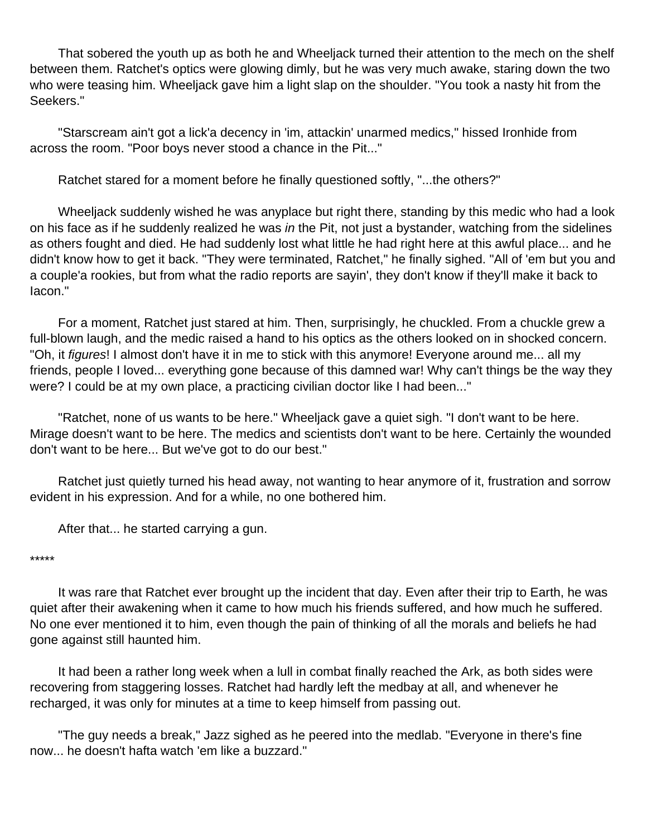That sobered the youth up as both he and Wheeljack turned their attention to the mech on the shelf between them. Ratchet's optics were glowing dimly, but he was very much awake, staring down the two who were teasing him. Wheeljack gave him a light slap on the shoulder. "You took a nasty hit from the Seekers."

 "Starscream ain't got a lick'a decency in 'im, attackin' unarmed medics," hissed Ironhide from across the room. "Poor boys never stood a chance in the Pit..."

Ratchet stared for a moment before he finally questioned softly, "...the others?"

 Wheeljack suddenly wished he was anyplace but right there, standing by this medic who had a look on his face as if he suddenly realized he was in the Pit, not just a bystander, watching from the sidelines as others fought and died. He had suddenly lost what little he had right here at this awful place... and he didn't know how to get it back. "They were terminated, Ratchet," he finally sighed. "All of 'em but you and a couple'a rookies, but from what the radio reports are sayin', they don't know if they'll make it back to Iacon."

 For a moment, Ratchet just stared at him. Then, surprisingly, he chuckled. From a chuckle grew a full-blown laugh, and the medic raised a hand to his optics as the others looked on in shocked concern. "Oh, it figures! I almost don't have it in me to stick with this anymore! Everyone around me... all my friends, people I loved... everything gone because of this damned war! Why can't things be the way they were? I could be at my own place, a practicing civilian doctor like I had been..."

 "Ratchet, none of us wants to be here." Wheeljack gave a quiet sigh. "I don't want to be here. Mirage doesn't want to be here. The medics and scientists don't want to be here. Certainly the wounded don't want to be here... But we've got to do our best."

 Ratchet just quietly turned his head away, not wanting to hear anymore of it, frustration and sorrow evident in his expression. And for a while, no one bothered him.

After that... he started carrying a gun.

#### \*\*\*\*\*

 It was rare that Ratchet ever brought up the incident that day. Even after their trip to Earth, he was quiet after their awakening when it came to how much his friends suffered, and how much he suffered. No one ever mentioned it to him, even though the pain of thinking of all the morals and beliefs he had gone against still haunted him.

 It had been a rather long week when a lull in combat finally reached the Ark, as both sides were recovering from staggering losses. Ratchet had hardly left the medbay at all, and whenever he recharged, it was only for minutes at a time to keep himself from passing out.

 "The guy needs a break," Jazz sighed as he peered into the medlab. "Everyone in there's fine now... he doesn't hafta watch 'em like a buzzard."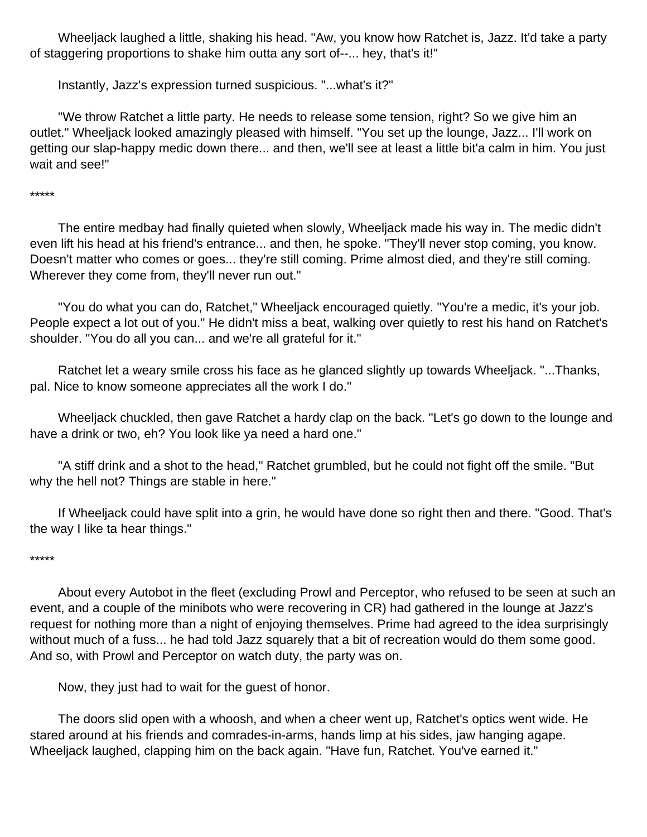Wheeljack laughed a little, shaking his head. "Aw, you know how Ratchet is, Jazz. It'd take a party of staggering proportions to shake him outta any sort of--... hey, that's it!"

Instantly, Jazz's expression turned suspicious. "...what's it?"

 "We throw Ratchet a little party. He needs to release some tension, right? So we give him an outlet." Wheeljack looked amazingly pleased with himself. "You set up the lounge, Jazz... I'll work on getting our slap-happy medic down there... and then, we'll see at least a little bit'a calm in him. You just wait and see!"

\*\*\*\*\*

 The entire medbay had finally quieted when slowly, Wheeljack made his way in. The medic didn't even lift his head at his friend's entrance... and then, he spoke. "They'll never stop coming, you know. Doesn't matter who comes or goes... they're still coming. Prime almost died, and they're still coming. Wherever they come from, they'll never run out."

 "You do what you can do, Ratchet," Wheeljack encouraged quietly. "You're a medic, it's your job. People expect a lot out of you." He didn't miss a beat, walking over quietly to rest his hand on Ratchet's shoulder. "You do all you can... and we're all grateful for it."

 Ratchet let a weary smile cross his face as he glanced slightly up towards Wheeljack. "...Thanks, pal. Nice to know someone appreciates all the work I do."

 Wheeljack chuckled, then gave Ratchet a hardy clap on the back. "Let's go down to the lounge and have a drink or two, eh? You look like ya need a hard one."

 "A stiff drink and a shot to the head," Ratchet grumbled, but he could not fight off the smile. "But why the hell not? Things are stable in here."

 If Wheeljack could have split into a grin, he would have done so right then and there. "Good. That's the way I like ta hear things."

#### \*\*\*\*\*

 About every Autobot in the fleet (excluding Prowl and Perceptor, who refused to be seen at such an event, and a couple of the minibots who were recovering in CR) had gathered in the lounge at Jazz's request for nothing more than a night of enjoying themselves. Prime had agreed to the idea surprisingly without much of a fuss... he had told Jazz squarely that a bit of recreation would do them some good. And so, with Prowl and Perceptor on watch duty, the party was on.

Now, they just had to wait for the guest of honor.

 The doors slid open with a whoosh, and when a cheer went up, Ratchet's optics went wide. He stared around at his friends and comrades-in-arms, hands limp at his sides, jaw hanging agape. Wheeljack laughed, clapping him on the back again. "Have fun, Ratchet. You've earned it."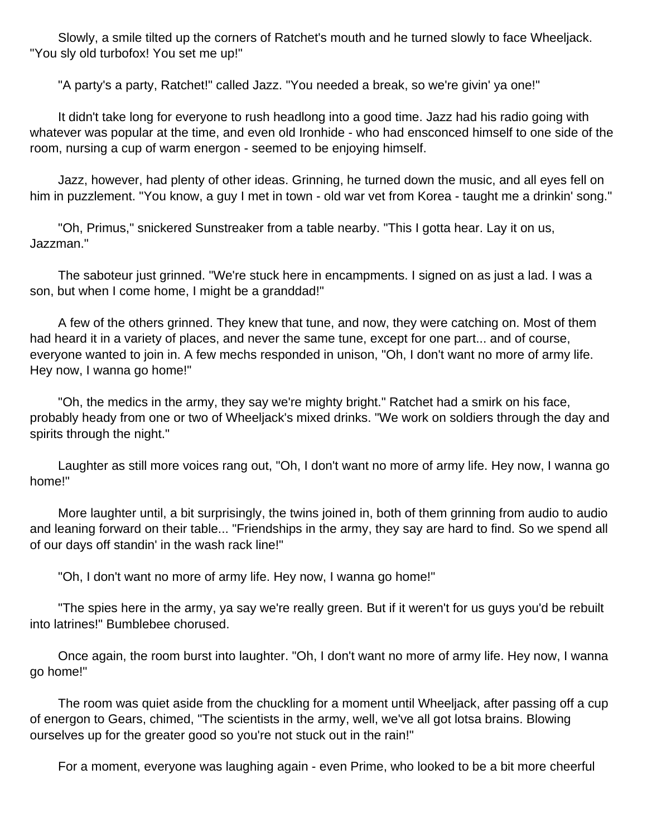Slowly, a smile tilted up the corners of Ratchet's mouth and he turned slowly to face Wheeljack. "You sly old turbofox! You set me up!"

"A party's a party, Ratchet!" called Jazz. "You needed a break, so we're givin' ya one!"

 It didn't take long for everyone to rush headlong into a good time. Jazz had his radio going with whatever was popular at the time, and even old Ironhide - who had ensconced himself to one side of the room, nursing a cup of warm energon - seemed to be enjoying himself.

 Jazz, however, had plenty of other ideas. Grinning, he turned down the music, and all eyes fell on him in puzzlement. "You know, a guy I met in town - old war vet from Korea - taught me a drinkin' song."

 "Oh, Primus," snickered Sunstreaker from a table nearby. "This I gotta hear. Lay it on us, Jazzman."

 The saboteur just grinned. "We're stuck here in encampments. I signed on as just a lad. I was a son, but when I come home, I might be a granddad!"

 A few of the others grinned. They knew that tune, and now, they were catching on. Most of them had heard it in a variety of places, and never the same tune, except for one part... and of course, everyone wanted to join in. A few mechs responded in unison, "Oh, I don't want no more of army life. Hey now, I wanna go home!"

 "Oh, the medics in the army, they say we're mighty bright." Ratchet had a smirk on his face, probably heady from one or two of Wheeljack's mixed drinks. "We work on soldiers through the day and spirits through the night."

 Laughter as still more voices rang out, "Oh, I don't want no more of army life. Hey now, I wanna go home!"

 More laughter until, a bit surprisingly, the twins joined in, both of them grinning from audio to audio and leaning forward on their table... "Friendships in the army, they say are hard to find. So we spend all of our days off standin' in the wash rack line!"

"Oh, I don't want no more of army life. Hey now, I wanna go home!"

 "The spies here in the army, ya say we're really green. But if it weren't for us guys you'd be rebuilt into latrines!" Bumblebee chorused.

 Once again, the room burst into laughter. "Oh, I don't want no more of army life. Hey now, I wanna go home!"

 The room was quiet aside from the chuckling for a moment until Wheeljack, after passing off a cup of energon to Gears, chimed, "The scientists in the army, well, we've all got lotsa brains. Blowing ourselves up for the greater good so you're not stuck out in the rain!"

For a moment, everyone was laughing again - even Prime, who looked to be a bit more cheerful